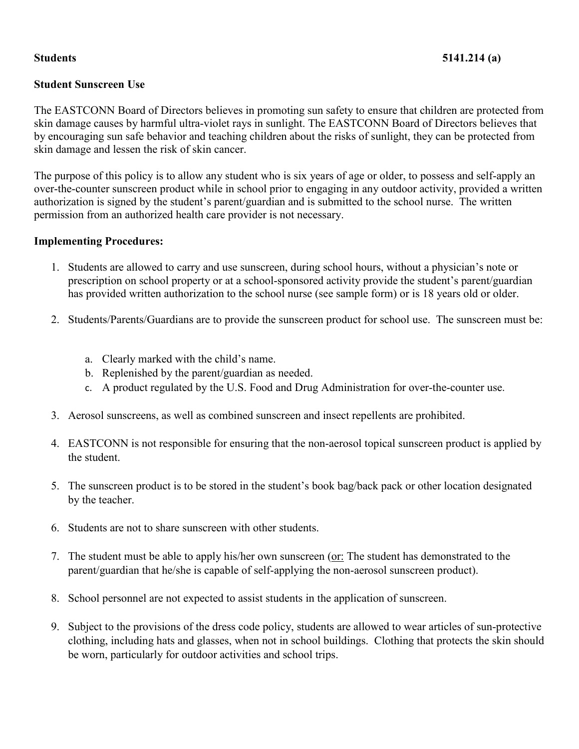# **Student Sunscreen Use**

The EASTCONN Board of Directors believes in promoting sun safety to ensure that children are protected from skin damage causes by harmful ultra-violet rays in sunlight. The EASTCONN Board of Directors believes that by encouraging sun safe behavior and teaching children about the risks of sunlight, they can be protected from skin damage and lessen the risk of skin cancer.

The purpose of this policy is to allow any student who is six years of age or older, to possess and self-apply an over-the-counter sunscreen product while in school prior to engaging in any outdoor activity, provided a written authorization is signed by the student's parent/guardian and is submitted to the school nurse. The written permission from an authorized health care provider is not necessary.

### **Implementing Procedures:**

- 1. Students are allowed to carry and use sunscreen, during school hours, without a physician's note or prescription on school property or at a school-sponsored activity provide the student's parent/guardian has provided written authorization to the school nurse (see sample form) or is 18 years old or older.
- 2. Students/Parents/Guardians are to provide the sunscreen product for school use. The sunscreen must be:
	- a. Clearly marked with the child's name.
	- b. Replenished by the parent/guardian as needed.
	- c. A product regulated by the U.S. Food and Drug Administration for over-the-counter use.
- 3. Aerosol sunscreens, as well as combined sunscreen and insect repellents are prohibited.
- 4. EASTCONN is not responsible for ensuring that the non-aerosol topical sunscreen product is applied by the student.
- 5. The sunscreen product is to be stored in the student's book bag/back pack or other location designated by the teacher.
- 6. Students are not to share sunscreen with other students.
- 7. The student must be able to apply his/her own sunscreen (or: The student has demonstrated to the parent/guardian that he/she is capable of self-applying the non-aerosol sunscreen product).
- 8. School personnel are not expected to assist students in the application of sunscreen.
- 9. Subject to the provisions of the dress code policy, students are allowed to wear articles of sun-protective clothing, including hats and glasses, when not in school buildings. Clothing that protects the skin should be worn, particularly for outdoor activities and school trips.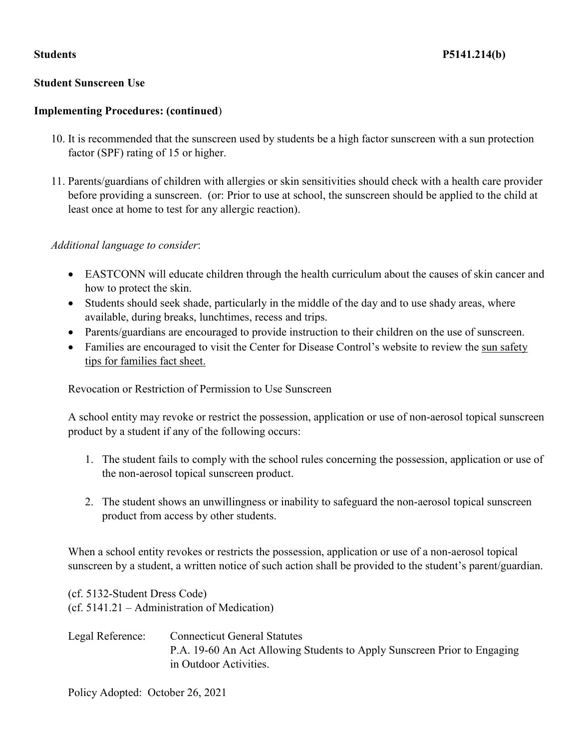### **Student Sunscreen Use**

### **Implementing Procedures: (continued**)

- 10. It is recommended that the sunscreen used by students be a high factor sunscreen with a sun protection factor (SPF) rating of 15 or higher.
- 11. Parents/guardians of children with allergies or skin sensitivities should check with a health care provider before providing a sunscreen. (or: Prior to use at school, the sunscreen should be applied to the child at least once at home to test for any allergic reaction).

#### *Additional language to consider*:

- EASTCONN will educate children through the health curriculum about the causes of skin cancer and how to protect the skin.
- Students should seek shade, particularly in the middle of the day and to use shady areas, where available, during breaks, lunchtimes, recess and trips.
- Parents/guardians are encouraged to provide instruction to their children on the use of sunscreen.
- Families are encouraged to visit the Center for Disease Control's website to review the sun safety tips for families fact sheet.

Revocation or Restriction of Permission to Use Sunscreen

A school entity may revoke or restrict the possession, application or use of non-aerosol topical sunscreen product by a student if any of the following occurs:

- 1. The student fails to comply with the school rules concerning the possession, application or use of the non-aerosol topical sunscreen product.
- 2. The student shows an unwillingness or inability to safeguard the non-aerosol topical sunscreen product from access by other students.

When a school entity revokes or restricts the possession, application or use of a non-aerosol topical sunscreen by a student, a written notice of such action shall be provided to the student's parent/guardian.

(cf. 5132-Student Dress Code) (cf. 5141.21 – Administration of Medication)

Legal Reference: Connecticut General Statutes P.A. 19-60 An Act Allowing Students to Apply Sunscreen Prior to Engaging in Outdoor Activities.

Policy Adopted: October 26, 2021